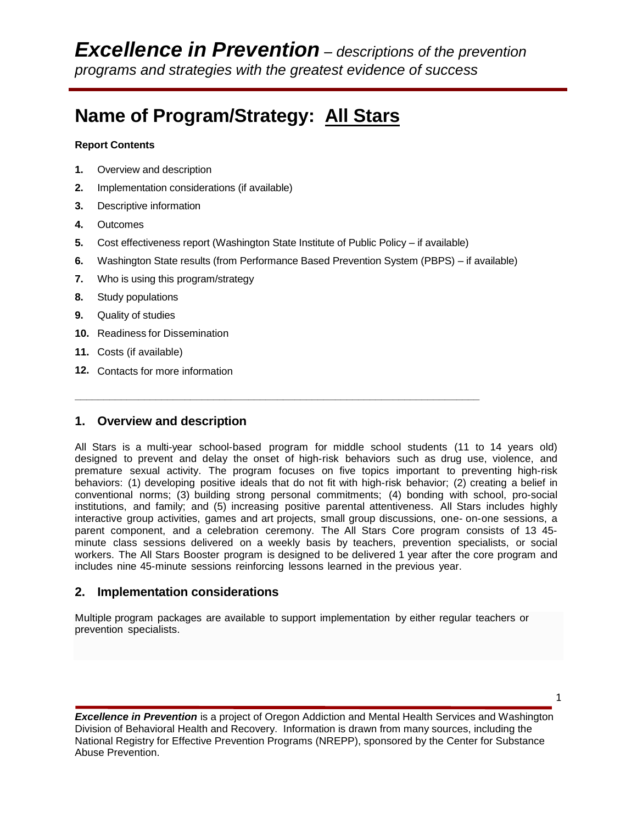# **Name of Program/Strategy: All Stars**

#### **Report Contents**

- **1.** Overview and description
- **2.** Implementation considerations (if available)
- **3.** Descriptive information
- **4.** Outcomes
- **5.** Cost effectiveness report (Washington State Institute of Public Policy if available)

**\_\_\_\_\_\_\_\_\_\_\_\_\_\_\_\_\_\_\_\_\_\_\_\_\_\_\_\_\_\_\_\_\_\_\_\_\_\_\_\_\_\_\_\_\_\_\_\_\_\_\_\_\_\_\_\_\_\_\_\_\_\_\_\_\_\_\_\_\_\_**

- **6.** Washington State results (from Performance Based Prevention System (PBPS) if available)
- **7.** Who is using this program/strategy
- **8.** Study populations
- **9.** Quality of studies
- **10.** Readiness for Dissemination
- **11.** Costs (if available)
- **12.** Contacts for more information

## **1. Overview and description**

All Stars is a multi-year school-based program for middle school students (11 to 14 years old) designed to prevent and delay the onset of high-risk behaviors such as drug use, violence, and premature sexual activity. The program focuses on five topics important to preventing high-risk behaviors: (1) developing positive ideals that do not fit with high-risk behavior; (2) creating a belief in conventional norms; (3) building strong personal commitments; (4) bonding with school, pro-social institutions, and family; and (5) increasing positive parental attentiveness. All Stars includes highly interactive group activities, games and art projects, small group discussions, one- on-one sessions, a parent component, and a celebration ceremony. The All Stars Core program consists of 13 45 minute class sessions delivered on a weekly basis by teachers, prevention specialists, or social workers. The All Stars Booster program is designed to be delivered 1 year after the core program and includes nine 45-minute sessions reinforcing lessons learned in the previous year.

## **2. Implementation considerations**

Multiple program packages are available to support implementation by either regular teachers or prevention specialists.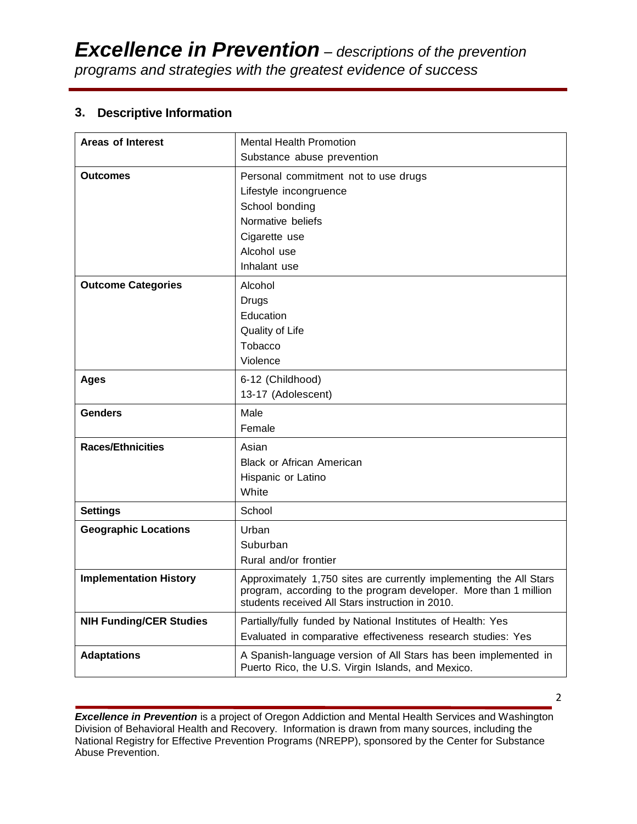# **3. Descriptive Information**

| <b>Areas of Interest</b>       | <b>Mental Health Promotion</b>                                                                                                                                                             |
|--------------------------------|--------------------------------------------------------------------------------------------------------------------------------------------------------------------------------------------|
|                                | Substance abuse prevention                                                                                                                                                                 |
| <b>Outcomes</b>                | Personal commitment not to use drugs                                                                                                                                                       |
|                                | Lifestyle incongruence                                                                                                                                                                     |
|                                | School bonding                                                                                                                                                                             |
|                                | Normative beliefs                                                                                                                                                                          |
|                                | Cigarette use                                                                                                                                                                              |
|                                | Alcohol use                                                                                                                                                                                |
|                                | Inhalant use                                                                                                                                                                               |
| <b>Outcome Categories</b>      | Alcohol                                                                                                                                                                                    |
|                                | Drugs                                                                                                                                                                                      |
|                                | Education                                                                                                                                                                                  |
|                                | Quality of Life                                                                                                                                                                            |
|                                | Tobacco                                                                                                                                                                                    |
|                                | Violence                                                                                                                                                                                   |
| <b>Ages</b>                    | 6-12 (Childhood)                                                                                                                                                                           |
|                                | 13-17 (Adolescent)                                                                                                                                                                         |
|                                |                                                                                                                                                                                            |
| <b>Genders</b>                 | Male                                                                                                                                                                                       |
|                                | Female                                                                                                                                                                                     |
| <b>Races/Ethnicities</b>       | Asian                                                                                                                                                                                      |
|                                | <b>Black or African American</b>                                                                                                                                                           |
|                                | Hispanic or Latino                                                                                                                                                                         |
|                                | White                                                                                                                                                                                      |
| <b>Settings</b>                | School                                                                                                                                                                                     |
| <b>Geographic Locations</b>    | Urban                                                                                                                                                                                      |
|                                | Suburban                                                                                                                                                                                   |
|                                | Rural and/or frontier                                                                                                                                                                      |
| <b>Implementation History</b>  | Approximately 1,750 sites are currently implementing the All Stars<br>program, according to the program developer. More than 1 million<br>students received All Stars instruction in 2010. |
| <b>NIH Funding/CER Studies</b> | Partially/fully funded by National Institutes of Health: Yes                                                                                                                               |
|                                | Evaluated in comparative effectiveness research studies: Yes                                                                                                                               |

*Excellence in Prevention* is a project of Oregon Addiction and Mental Health Services and Washington Division of Behavioral Health and Recovery. Information is drawn from many sources, including the National Registry for Effective Prevention Programs (NREPP), sponsored by the Center for Substance Abuse Prevention.

2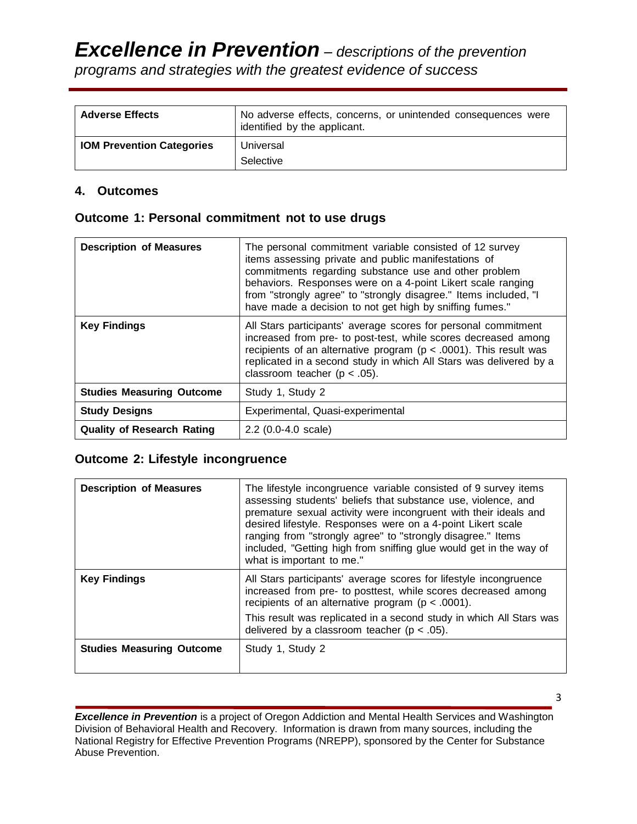| programs and strategies with the greatest evidence of success |  |
|---------------------------------------------------------------|--|
|---------------------------------------------------------------|--|

| <b>Adverse Effects</b>           | No adverse effects, concerns, or unintended consequences were<br>identified by the applicant. |
|----------------------------------|-----------------------------------------------------------------------------------------------|
| <b>IOM Prevention Categories</b> | Universal<br>Selective                                                                        |

#### **4. Outcomes**

#### **Outcome 1: Personal commitment not to use drugs**

| <b>Description of Measures</b>    | The personal commitment variable consisted of 12 survey<br>items assessing private and public manifestations of<br>commitments regarding substance use and other problem<br>behaviors. Responses were on a 4-point Likert scale ranging<br>from "strongly agree" to "strongly disagree." Items included, "I<br>have made a decision to not get high by sniffing fumes." |
|-----------------------------------|-------------------------------------------------------------------------------------------------------------------------------------------------------------------------------------------------------------------------------------------------------------------------------------------------------------------------------------------------------------------------|
| <b>Key Findings</b>               | All Stars participants' average scores for personal commitment<br>increased from pre- to post-test, while scores decreased among<br>recipients of an alternative program ( $p < .0001$ ). This result was<br>replicated in a second study in which All Stars was delivered by a<br>classroom teacher ( $p < .05$ ).                                                     |
| <b>Studies Measuring Outcome</b>  | Study 1, Study 2                                                                                                                                                                                                                                                                                                                                                        |
| <b>Study Designs</b>              | Experimental, Quasi-experimental                                                                                                                                                                                                                                                                                                                                        |
| <b>Quality of Research Rating</b> | $2.2$ (0.0-4.0 scale)                                                                                                                                                                                                                                                                                                                                                   |

## **Outcome 2: Lifestyle incongruence**

| <b>Description of Measures</b>   | The lifestyle incongruence variable consisted of 9 survey items<br>assessing students' beliefs that substance use, violence, and<br>premature sexual activity were incongruent with their ideals and<br>desired lifestyle. Responses were on a 4-point Likert scale<br>ranging from "strongly agree" to "strongly disagree." Items<br>included, "Getting high from sniffing glue would get in the way of<br>what is important to me." |
|----------------------------------|---------------------------------------------------------------------------------------------------------------------------------------------------------------------------------------------------------------------------------------------------------------------------------------------------------------------------------------------------------------------------------------------------------------------------------------|
| <b>Key Findings</b>              | All Stars participants' average scores for lifestyle incongruence<br>increased from pre- to posttest, while scores decreased among<br>recipients of an alternative program ( $p < .0001$ ).<br>This result was replicated in a second study in which All Stars was<br>delivered by a classroom teacher ( $p < .05$ ).                                                                                                                 |
| <b>Studies Measuring Outcome</b> | Study 1, Study 2                                                                                                                                                                                                                                                                                                                                                                                                                      |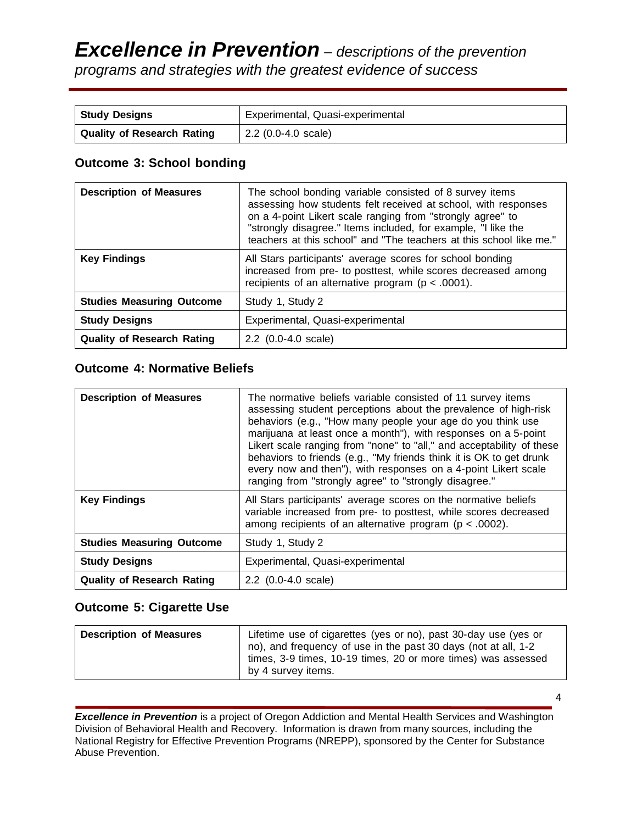# *Excellence in Prevention – descriptions of the prevention programs and strategies with the greatest evidence of success*

| <b>Study Designs</b>       | Experimental, Quasi-experimental |
|----------------------------|----------------------------------|
| Quality of Research Rating | 2.2 (0.0-4.0 scale)              |

# **Outcome 3: School bonding**

| <b>Description of Measures</b>    | The school bonding variable consisted of 8 survey items<br>assessing how students felt received at school, with responses<br>on a 4-point Likert scale ranging from "strongly agree" to<br>"strongly disagree." Items included, for example, "I like the<br>teachers at this school" and "The teachers at this school like me." |
|-----------------------------------|---------------------------------------------------------------------------------------------------------------------------------------------------------------------------------------------------------------------------------------------------------------------------------------------------------------------------------|
| <b>Key Findings</b>               | All Stars participants' average scores for school bonding<br>increased from pre- to posttest, while scores decreased among<br>recipients of an alternative program ( $p < .0001$ ).                                                                                                                                             |
| <b>Studies Measuring Outcome</b>  | Study 1, Study 2                                                                                                                                                                                                                                                                                                                |
| <b>Study Designs</b>              | Experimental, Quasi-experimental                                                                                                                                                                                                                                                                                                |
| <b>Quality of Research Rating</b> | $2.2$ (0.0-4.0 scale)                                                                                                                                                                                                                                                                                                           |

# **Outcome 4: Normative Beliefs**

| <b>Description of Measures</b>    | The normative beliefs variable consisted of 11 survey items<br>assessing student perceptions about the prevalence of high-risk<br>behaviors (e.g., "How many people your age do you think use<br>marijuana at least once a month"), with responses on a 5-point<br>Likert scale ranging from "none" to "all," and acceptability of these<br>behaviors to friends (e.g., "My friends think it is OK to get drunk<br>every now and then"), with responses on a 4-point Likert scale<br>ranging from "strongly agree" to "strongly disagree." |
|-----------------------------------|--------------------------------------------------------------------------------------------------------------------------------------------------------------------------------------------------------------------------------------------------------------------------------------------------------------------------------------------------------------------------------------------------------------------------------------------------------------------------------------------------------------------------------------------|
| <b>Key Findings</b>               | All Stars participants' average scores on the normative beliefs<br>variable increased from pre- to posttest, while scores decreased<br>among recipients of an alternative program ( $p < .0002$ ).                                                                                                                                                                                                                                                                                                                                         |
| <b>Studies Measuring Outcome</b>  | Study 1, Study 2                                                                                                                                                                                                                                                                                                                                                                                                                                                                                                                           |
| <b>Study Designs</b>              | Experimental, Quasi-experimental                                                                                                                                                                                                                                                                                                                                                                                                                                                                                                           |
| <b>Quality of Research Rating</b> | $2.2$ (0.0-4.0 scale)                                                                                                                                                                                                                                                                                                                                                                                                                                                                                                                      |

# **Outcome 5: Cigarette Use**

| <b>Description of Measures</b> | Lifetime use of cigarettes (yes or no), past 30-day use (yes or<br>no), and frequency of use in the past 30 days (not at all, 1-2<br>times, 3-9 times, 10-19 times, 20 or more times) was assessed |
|--------------------------------|----------------------------------------------------------------------------------------------------------------------------------------------------------------------------------------------------|
|                                | by 4 survey items.                                                                                                                                                                                 |

*Excellence in Prevention* is a project of Oregon Addiction and Mental Health Services and Washington Division of Behavioral Health and Recovery. Information is drawn from many sources, including the National Registry for Effective Prevention Programs (NREPP), sponsored by the Center for Substance Abuse Prevention.

4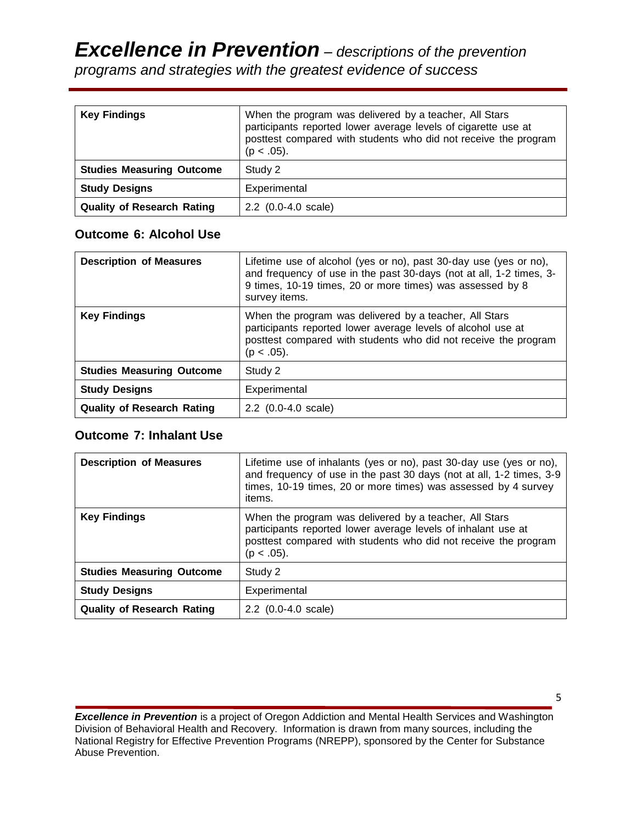# *Excellence in Prevention – descriptions of the prevention*

*programs and strategies with the greatest evidence of success*

| <b>Key Findings</b>               | When the program was delivered by a teacher, All Stars<br>participants reported lower average levels of cigarette use at<br>posttest compared with students who did not receive the program<br>$(p < .05)$ . |
|-----------------------------------|--------------------------------------------------------------------------------------------------------------------------------------------------------------------------------------------------------------|
| <b>Studies Measuring Outcome</b>  | Study 2                                                                                                                                                                                                      |
| <b>Study Designs</b>              | Experimental                                                                                                                                                                                                 |
| <b>Quality of Research Rating</b> | $2.2$ (0.0-4.0 scale)                                                                                                                                                                                        |

# **Outcome 6: Alcohol Use**

| <b>Description of Measures</b>    | Lifetime use of alcohol (yes or no), past 30-day use (yes or no),<br>and frequency of use in the past 30-days (not at all, 1-2 times, 3-<br>9 times, 10-19 times, 20 or more times) was assessed by 8<br>survey items. |
|-----------------------------------|------------------------------------------------------------------------------------------------------------------------------------------------------------------------------------------------------------------------|
| <b>Key Findings</b>               | When the program was delivered by a teacher, All Stars<br>participants reported lower average levels of alcohol use at<br>posttest compared with students who did not receive the program<br>$(p < .05)$ .             |
| <b>Studies Measuring Outcome</b>  | Study 2                                                                                                                                                                                                                |
| <b>Study Designs</b>              | Experimental                                                                                                                                                                                                           |
| <b>Quality of Research Rating</b> | $2.2$ (0.0-4.0 scale)                                                                                                                                                                                                  |

# **Outcome 7: Inhalant Use**

| <b>Description of Measures</b>    | Lifetime use of inhalants (yes or no), past 30-day use (yes or no),<br>and frequency of use in the past 30 days (not at all, 1-2 times, 3-9<br>times, 10-19 times, 20 or more times) was assessed by 4 survey<br>items. |
|-----------------------------------|-------------------------------------------------------------------------------------------------------------------------------------------------------------------------------------------------------------------------|
| <b>Key Findings</b>               | When the program was delivered by a teacher, All Stars<br>participants reported lower average levels of inhalant use at<br>posttest compared with students who did not receive the program<br>$(p < .05)$ .             |
| <b>Studies Measuring Outcome</b>  | Study 2                                                                                                                                                                                                                 |
| <b>Study Designs</b>              | Experimental                                                                                                                                                                                                            |
| <b>Quality of Research Rating</b> | $2.2$ (0.0-4.0 scale)                                                                                                                                                                                                   |

*Excellence in Prevention* is a project of Oregon Addiction and Mental Health Services and Washington Division of Behavioral Health and Recovery. Information is drawn from many sources, including the National Registry for Effective Prevention Programs (NREPP), sponsored by the Center for Substance Abuse Prevention.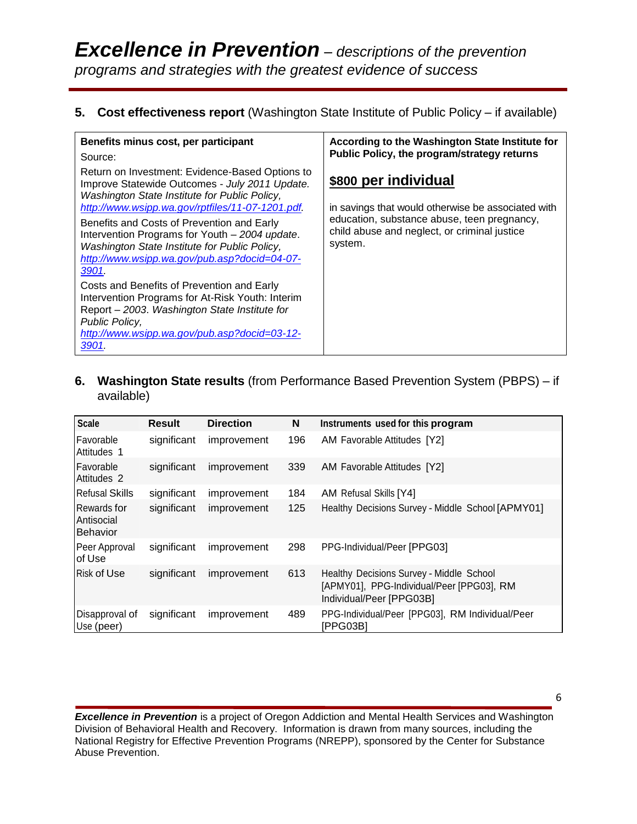# **5. Cost effectiveness report** (Washington State Institute of Public Policy – if available)

| Benefits minus cost, per participant                                                                                                                                                                                       | According to the Washington State Institute for                                                        |
|----------------------------------------------------------------------------------------------------------------------------------------------------------------------------------------------------------------------------|--------------------------------------------------------------------------------------------------------|
| Source:                                                                                                                                                                                                                    | Public Policy, the program/strategy returns                                                            |
| Return on Investment: Evidence-Based Options to<br>Improve Statewide Outcomes - July 2011 Update.<br>Washington State Institute for Public Policy,<br>http://www.wsipp.wa.gov/rptfiles/11-07-1201.pdf.                     | \$800 per individual<br>in savings that would otherwise be associated with                             |
| Benefits and Costs of Prevention and Early<br>Intervention Programs for Youth - 2004 update.<br>Washington State Institute for Public Policy,<br>http://www.wsipp.wa.gov/pub.asp?docid=04-07-<br>3901.                     | education, substance abuse, teen pregnancy,<br>child abuse and neglect, or criminal justice<br>system. |
| Costs and Benefits of Prevention and Early<br>Intervention Programs for At-Risk Youth: Interim<br>Report - 2003. Washington State Institute for<br>Public Policy,<br>http://www.wsipp.wa.gov/pub.asp?docid=03-12-<br>3901. |                                                                                                        |

# **6. Washington State results** (from Performance Based Prevention System (PBPS) – if available)

| <b>Scale</b>                                 | <b>Result</b> | <b>Direction</b> | N   | Instruments used for this program                                                                                 |
|----------------------------------------------|---------------|------------------|-----|-------------------------------------------------------------------------------------------------------------------|
| Favorable<br>Attitudes 1                     | significant   | improvement      | 196 | AM Favorable Attitudes [Y2]                                                                                       |
| Favorable<br>Attitudes 2                     | significant   | improvement      | 339 | AM Favorable Attitudes [Y2]                                                                                       |
| <b>Refusal Skills</b>                        | significant   | improvement      | 184 | AM Refusal Skills [Y4]                                                                                            |
| Rewards for<br>Antisocial<br><b>Behavior</b> | significant   | improvement      | 125 | Healthy Decisions Survey - Middle School [APMY01]                                                                 |
| Peer Approval<br>of Use                      | significant   | improvement      | 298 | PPG-Individual/Peer [PPG03]                                                                                       |
| <b>Risk of Use</b>                           | significant   | improvement      | 613 | Healthy Decisions Survey - Middle School<br>[APMY01], PPG-Individual/Peer [PPG03], RM<br>Individual/Peer [PPG03B] |
| Disapproval of<br>Use (peer)                 | significant   | improvement      | 489 | PPG-Individual/Peer [PPG03], RM Individual/Peer<br>[PPG03B]                                                       |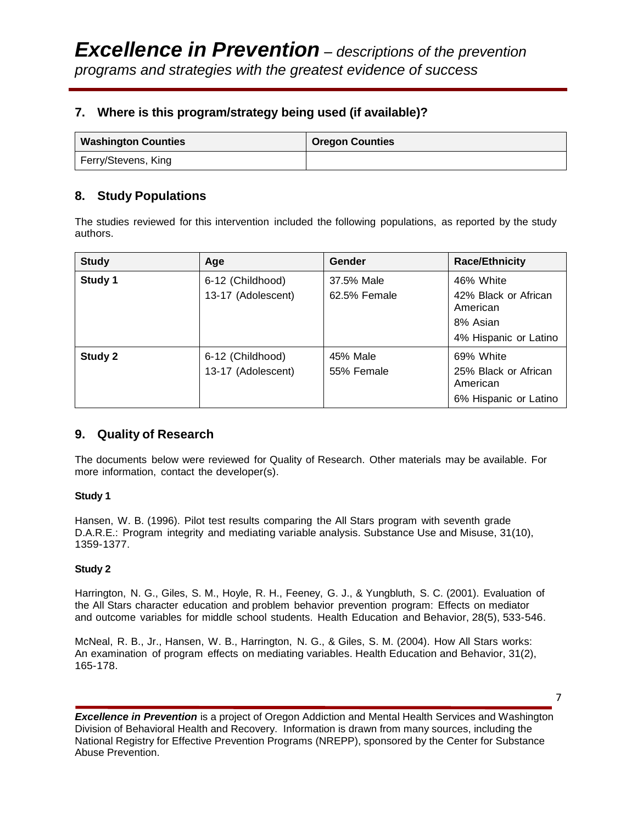# **7. Where is this program/strategy being used (if available)?**

| <b>Washington Counties</b> | <b>Oregon Counties</b> |
|----------------------------|------------------------|
| Ferry/Stevens, King        |                        |

# **8. Study Populations**

The studies reviewed for this intervention included the following populations, as reported by the study authors.

| <b>Study</b> | Age                                    | Gender                     | <b>Race/Ethnicity</b>                                                              |
|--------------|----------------------------------------|----------------------------|------------------------------------------------------------------------------------|
| Study 1      | 6-12 (Childhood)<br>13-17 (Adolescent) | 37.5% Male<br>62.5% Female | 46% White<br>42% Black or African<br>American<br>8% Asian<br>4% Hispanic or Latino |
| Study 2      | 6-12 (Childhood)<br>13-17 (Adolescent) | 45% Male<br>55% Female     | 69% White<br>25% Black or African<br>American<br>6% Hispanic or Latino             |

## **9. Quality of Research**

The documents below were reviewed for Quality of Research. Other materials may be available. For more information, contact the developer(s).

#### **Study 1**

Hansen, W. B. (1996). Pilot test results [comparing](http://www.ncbi.nlm.nih.gov/sites/entrez?Db=pubmed&Cmd=ShowDetailView&TermToSearch=8879078&ordinalpos=1&itool=EntrezSystem2.PEntrez.Pubmed.Pubmed_ResultsPanel.Pubmed_RVDocSum) the All Stars program with seventh grade D.A.R.E.: Program integrity and [mediating variable analysis. Substance Use and Misuse, 31\(10\),](http://www.ncbi.nlm.nih.gov/sites/entrez?Db=pubmed&Cmd=ShowDetailView&TermToSearch=8879078&ordinalpos=1&itool=EntrezSystem2.PEntrez.Pubmed.Pubmed_ResultsPanel.Pubmed_RVDocSum)  [1359-1377.](http://www.ncbi.nlm.nih.gov/sites/entrez?Db=pubmed&Cmd=ShowDetailView&TermToSearch=8879078&ordinalpos=1&itool=EntrezSystem2.PEntrez.Pubmed.Pubmed_ResultsPanel.Pubmed_RVDocSum)

#### **Study 2**

[Harrington,](http://www.ncbi.nlm.nih.gov/sites/entrez?Db=pubmed&Cmd=ShowDetailView&TermToSearch=11575684&ordinalpos=1&itool=EntrezSystem2.PEntrez.Pubmed.Pubmed_ResultsPanel.Pubmed_RVDocSum) N. G., Giles, S. M., Hoyle, R. H., Feeney, G. J., & Yungbluth, S. C. (2001). Evaluation of the All Stars character education [and problem](http://www.ncbi.nlm.nih.gov/sites/entrez?Db=pubmed&Cmd=ShowDetailView&TermToSearch=11575684&ordinalpos=1&itool=EntrezSystem2.PEntrez.Pubmed.Pubmed_ResultsPanel.Pubmed_RVDocSum) behavior prevention program: Effects on mediator and outcome variables for middle school students. Health Education [and Behavior, 28\(5\), 533-546.](http://www.ncbi.nlm.nih.gov/sites/entrez?Db=pubmed&Cmd=ShowDetailView&TermToSearch=11575684&ordinalpos=1&itool=EntrezSystem2.PEntrez.Pubmed.Pubmed_ResultsPanel.Pubmed_RVDocSum)

McNeal, R. B., Jr., Hansen, W. B., [Harrington,](http://www.ncbi.nlm.nih.gov/sites/entrez?Db=pubmed&Cmd=ShowDetailView&TermToSearch=15090119&ordinalpos=1&itool=EntrezSystem2.PEntrez.Pubmed.Pubmed_ResultsPanel.Pubmed_RVDocSum) N. G., & Giles, S. M. (2004). How All Stars works: An examination of program effects [on mediating variables. Health Education and Behavior, 31\(2\),](http://www.ncbi.nlm.nih.gov/sites/entrez?Db=pubmed&Cmd=ShowDetailView&TermToSearch=15090119&ordinalpos=1&itool=EntrezSystem2.PEntrez.Pubmed.Pubmed_ResultsPanel.Pubmed_RVDocSum)  [165-178.](http://www.ncbi.nlm.nih.gov/sites/entrez?Db=pubmed&Cmd=ShowDetailView&TermToSearch=15090119&ordinalpos=1&itool=EntrezSystem2.PEntrez.Pubmed.Pubmed_ResultsPanel.Pubmed_RVDocSum)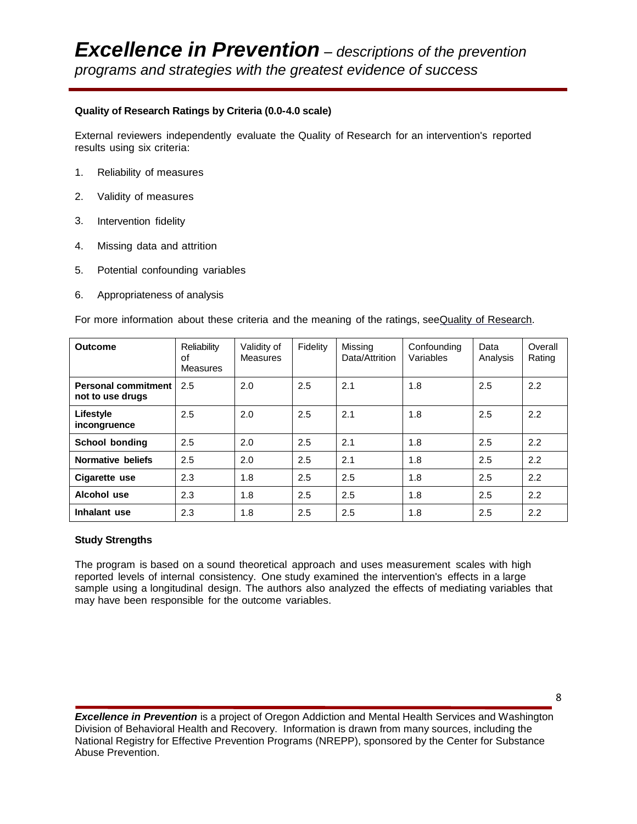#### **Quality of Research Ratings by Criteria (0.0-4.0 scale)**

External reviewers independently evaluate the Quality of Research for an intervention's reported results using six criteria:

- 1. Reliability of measures
- 2. Validity of measures
- 3. Intervention fidelity
- 4. Missing data and attrition
- 5. Potential confounding variables
- 6. Appropriateness of analysis

For more information about these criteria and the meaning of the ratings, seeQuality of [Research.](http://nrepp.samhsa.gov/ReviewQOR.aspx)

| <b>Outcome</b>                          | Reliability<br>οf<br><b>Measures</b> | Validity of<br>Measures | Fidelity | Missing<br>Data/Attrition | Confounding<br>Variables | Data<br>Analysis | Overall<br>Rating |
|-----------------------------------------|--------------------------------------|-------------------------|----------|---------------------------|--------------------------|------------------|-------------------|
| Personal commitment<br>not to use drugs | 2.5                                  | 2.0                     | 2.5      | 2.1                       | 1.8                      | 2.5              | 2.2               |
| Lifestyle<br>incongruence               | 2.5                                  | 2.0                     | 2.5      | 2.1                       | 1.8                      | 2.5              | 2.2               |
| School bonding                          | 2.5                                  | 2.0                     | 2.5      | 2.1                       | 1.8                      | 2.5              | 2.2               |
| Normative beliefs                       | 2.5                                  | 2.0                     | 2.5      | 2.1                       | 1.8                      | 2.5              | 2.2               |
| Cigarette use                           | 2.3                                  | 1.8                     | 2.5      | 2.5                       | 1.8                      | 2.5              | 2.2               |
| Alcohol use                             | 2.3                                  | 1.8                     | 2.5      | 2.5                       | 1.8                      | 2.5              | 2.2               |
| Inhalant use                            | 2.3                                  | 1.8                     | 2.5      | 2.5                       | 1.8                      | 2.5              | 2.2               |

#### **Study Strengths**

The program is based on a sound theoretical approach and uses measurement scales with high reported levels of internal consistency. One study examined the intervention's effects in a large sample using a longitudinal design. The authors also analyzed the effects of mediating variables that may have been responsible for the outcome variables.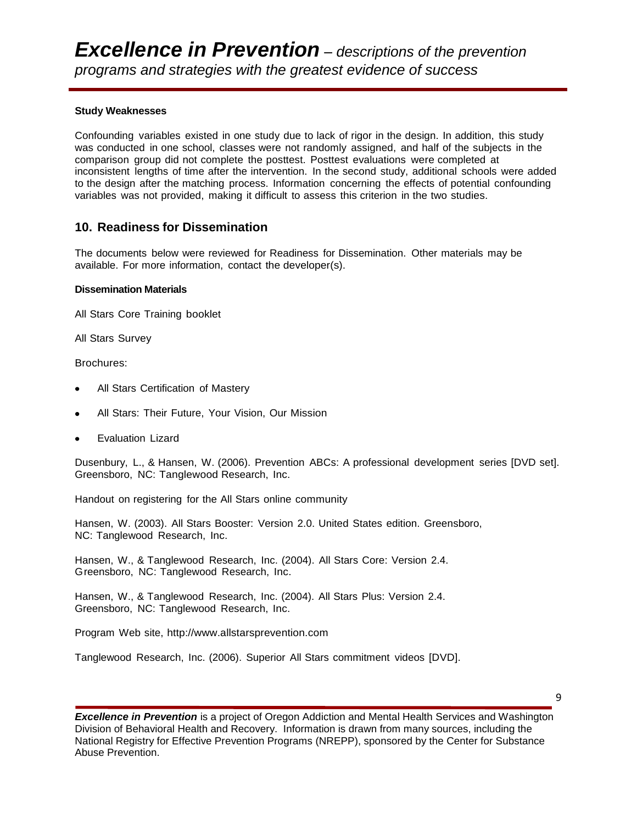#### **Study Weaknesses**

Confounding variables existed in one study due to lack of rigor in the design. In addition, this study was conducted in one school, classes were not randomly assigned, and half of the subjects in the comparison group did not complete the posttest. Posttest evaluations were completed at inconsistent lengths of time after the intervention. In the second study, additional schools were added to the design after the matching process. Information concerning the effects of potential confounding variables was not provided, making it difficult to assess this criterion in the two studies.

#### **10. Readiness for Dissemination**

The documents below were reviewed for Readiness for Dissemination. Other materials may be available. For more information, contact the developer(s).

#### **Dissemination Materials**

All Stars Core Training booklet

All Stars Survey

Brochures:

- All Stars Certification of Mastery
- All Stars: Their Future, Your Vision, Our Mission
- Evaluation Lizard

Dusenbury, L., & Hansen, W. (2006). Prevention ABCs: A professional development series [DVD set]. Greensboro, NC: Tanglewood Research, Inc.

Handout on registering for the All Stars online community

Hansen, W. (2003). All Stars Booster: Version 2.0. United States edition. Greensboro, NC: Tanglewood Research, Inc.

Hansen, W., & Tanglewood Research, Inc. (2004). All Stars Core: Version 2.4. Greensboro, NC: Tanglewood Research, Inc.

Hansen, W., & Tanglewood Research, Inc. (2004). All Stars Plus: Version 2.4. Greensboro, NC: Tanglewood Research, Inc.

Program Web site, [http://www.allstarsprevention.com](http://www.allstarsprevention.com/)

Tanglewood Research, Inc. (2006). Superior All Stars commitment videos [DVD].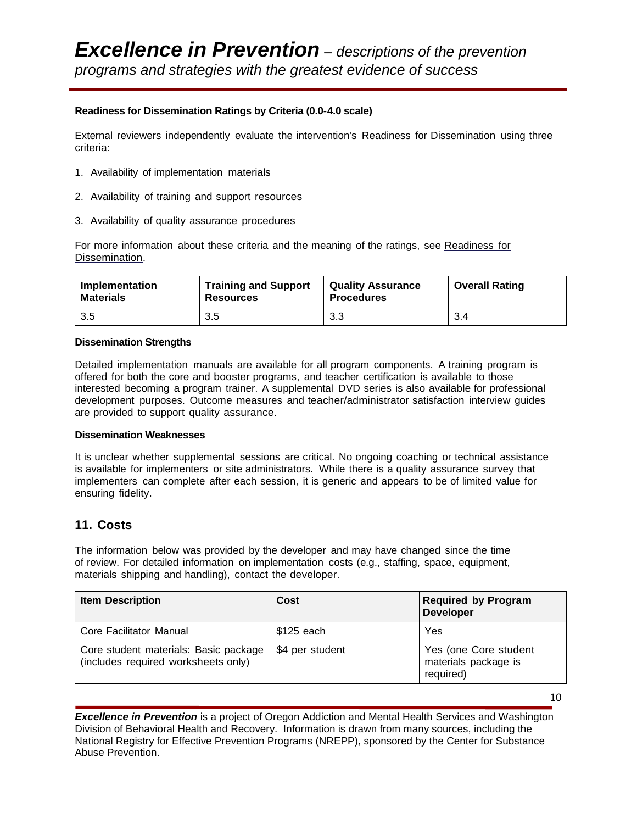#### **Readiness for Dissemination Ratings by Criteria (0.0-4.0 scale)**

External reviewers independently evaluate the intervention's Readiness for Dissemination using three criteria:

- 1. Availability of implementation materials
- 2. Availability of training and support resources
- 3. Availability of quality assurance procedures

For more information about these criteria and the meaning of the ratings, see [Readiness](http://nrepp.samhsa.gov/ReviewRFD.aspx) for [Dissemination.](http://nrepp.samhsa.gov/ReviewRFD.aspx)

| Implementation   | <b>Training and Support</b> | <b>Quality Assurance</b> | <b>Overall Rating</b> |
|------------------|-----------------------------|--------------------------|-----------------------|
| <b>Materials</b> | <b>Resources</b>            | <b>Procedures</b>        |                       |
| 3.5              | 3.5                         | 3.3                      | 3.4                   |

#### **Dissemination Strengths**

Detailed implementation manuals are available for all program components. A training program is offered for both the core and booster programs, and teacher certification is available to those interested becoming a program trainer. A supplemental DVD series is also available for professional development purposes. Outcome measures and teacher/administrator satisfaction interview guides are provided to support quality assurance.

#### **Dissemination Weaknesses**

It is unclear whether supplemental sessions are critical. No ongoing coaching or technical assistance is available for implementers or site administrators. While there is a quality assurance survey that implementers can complete after each session, it is generic and appears to be of limited value for ensuring fidelity.

## **11. Costs**

The information below was provided by the developer and may have changed since the time of review. For detailed information on implementation costs (e.g., staffing, space, equipment, materials shipping and handling), contact the developer.

| <b>Item Description</b>                                                      | Cost            | <b>Required by Program</b><br><b>Developer</b>             |
|------------------------------------------------------------------------------|-----------------|------------------------------------------------------------|
| Core Facilitator Manual                                                      | \$125 each      | Yes                                                        |
| Core student materials: Basic package<br>(includes required worksheets only) | \$4 per student | Yes (one Core student<br>materials package is<br>required) |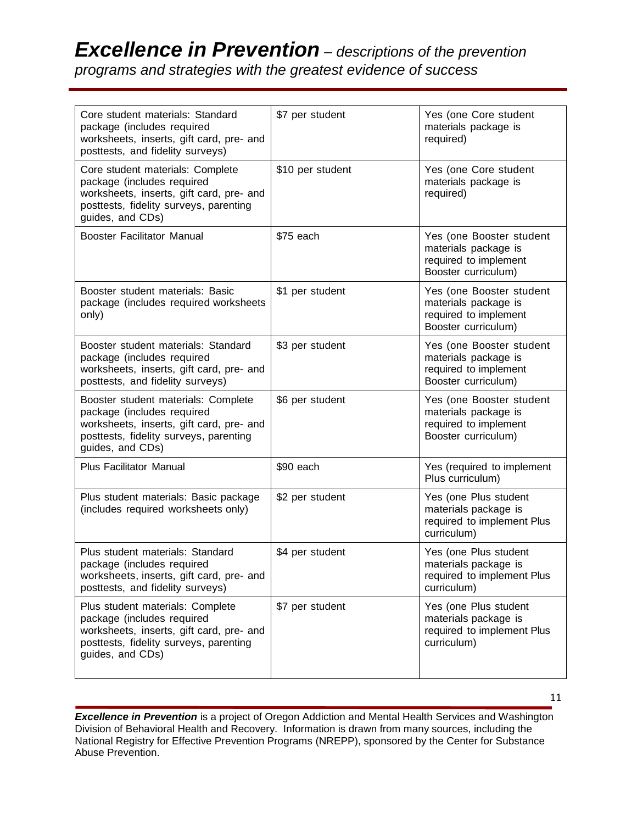# *Excellence in Prevention – descriptions of the prevention*

*programs and strategies with the greatest evidence of success*

| Core student materials: Standard<br>package (includes required<br>worksheets, inserts, gift card, pre- and<br>posttests, and fidelity surveys)                              | \$7 per student  | Yes (one Core student<br>materials package is<br>required)                                       |
|-----------------------------------------------------------------------------------------------------------------------------------------------------------------------------|------------------|--------------------------------------------------------------------------------------------------|
| Core student materials: Complete<br>package (includes required<br>worksheets, inserts, gift card, pre- and<br>posttests, fidelity surveys, parenting<br>guides, and CDs)    | \$10 per student | Yes (one Core student<br>materials package is<br>required)                                       |
| <b>Booster Facilitator Manual</b>                                                                                                                                           | \$75 each        | Yes (one Booster student<br>materials package is<br>required to implement<br>Booster curriculum) |
| Booster student materials: Basic<br>package (includes required worksheets<br>only)                                                                                          | \$1 per student  | Yes (one Booster student<br>materials package is<br>required to implement<br>Booster curriculum) |
| Booster student materials: Standard<br>package (includes required<br>worksheets, inserts, gift card, pre- and<br>posttests, and fidelity surveys)                           | \$3 per student  | Yes (one Booster student<br>materials package is<br>required to implement<br>Booster curriculum) |
| Booster student materials: Complete<br>package (includes required<br>worksheets, inserts, gift card, pre- and<br>posttests, fidelity surveys, parenting<br>guides, and CDs) | \$6 per student  | Yes (one Booster student<br>materials package is<br>required to implement<br>Booster curriculum) |
| <b>Plus Facilitator Manual</b>                                                                                                                                              | \$90 each        | Yes (required to implement<br>Plus curriculum)                                                   |
| Plus student materials: Basic package<br>(includes required worksheets only)                                                                                                | \$2 per student  | Yes (one Plus student<br>materials package is<br>required to implement Plus<br>curriculum)       |
| Plus student materials: Standard<br>package (includes required<br>worksheets, inserts, gift card, pre- and<br>posttests, and fidelity surveys)                              | \$4 per student  | Yes (one Plus student<br>materials package is<br>required to implement Plus<br>curriculum)       |
| Plus student materials: Complete<br>package (includes required<br>worksheets, inserts, gift card, pre- and<br>posttests, fidelity surveys, parenting<br>guides, and CDs)    | \$7 per student  | Yes (one Plus student<br>materials package is<br>required to implement Plus<br>curriculum)       |